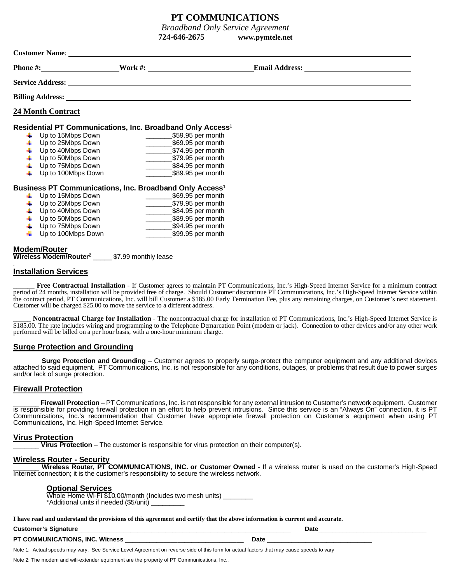# **PT COMMUNICATIONS**

*Broadband Only Service Agreement*

**724-646-2675 www.pymtele.net**

| <b>Customer Name:</b>                                                  |                          |                                               |                       |  |  |  |
|------------------------------------------------------------------------|--------------------------|-----------------------------------------------|-----------------------|--|--|--|
|                                                                        | Phone #: $\qquad \qquad$ | Work $\#$ :                                   | <b>Email Address:</b> |  |  |  |
|                                                                        | <b>Service Address:</b>  |                                               |                       |  |  |  |
|                                                                        |                          |                                               |                       |  |  |  |
|                                                                        | <b>24 Month Contract</b> |                                               |                       |  |  |  |
| Residential PT Communications, Inc. Broadband Only Access <sup>1</sup> |                          |                                               |                       |  |  |  |
|                                                                        | Up to 15Mbps Down        | \$59.95 per month                             |                       |  |  |  |
|                                                                        | Up to 25Mbps Down        | \$69.95 per month<br><b>Contract Contract</b> |                       |  |  |  |
|                                                                        | Up to 40Mbps Down        | \$74.95 per month                             |                       |  |  |  |
|                                                                        | Up to 50Mbps Down        | \$79.95 per month                             |                       |  |  |  |
|                                                                        | Up to 75Mbps Down        | \$84.95 per month                             |                       |  |  |  |
|                                                                        | Up to 100Mbps Down       | \$89.95 per month                             |                       |  |  |  |

## **Business PT Communications, Inc. Broadband Only Access<sup>1</sup>**

| Up to 15Mbps Down        | \$69.95 per month |
|--------------------------|-------------------|
| Up to 25Mbps Down        | \$79.95 per month |
| Up to 40Mbps Down        | \$84.95 per month |
| Up to 50Mbps Down        | \$89.95 per month |
| Up to 75Mbps Down<br>÷   | \$94.95 per month |
| Up to 100Mbps Down<br>÷. | \$99.95 per month |
|                          |                   |

## **Modem/Router Wireless Modem/Router<sup>2</sup>** \_\_\_\_\_ \$7.99 monthly lease

# **Installation Services**

.

**Free Contractual Installation** - If Customer agrees to maintain PT Communications, Inc.'s High-Speed Internet Service for a minimum contract period of 24 months, installation will be provided free of charge. Should Customer discontinue PT Communications, Inc.'s High-Speed Internet Service within the contract period, PT Communications, Inc. will bill Customer a \$185.00 Early Termination Fee*,* plus any remaining charges, on Customer's next statement. Customer will be charged \$25.00 to move the service to a different address.

\_\_\_\_\_ **Noncontractual Charge for Installation** - The noncontractual charge for installation of PT Communications, Inc.'s High-Speed Internet Service is  $$185.00$ . The rate includes wiring and programming to the Telephone Demarcation Point (modem or jack). Connection to other devices and/or any other work performed will be billed on a per hour basis, with a one-hour minimum charge.

# **Surge Protection and Grounding**

**Surge Protection and Grounding** – Customer agrees to properly surge-protect the computer equipment and any additional devices attached to said equipment. PT Communications, Inc. is not responsible for any conditions, outages, or problems that result due to power surges and/or lack of surge protection.

# **Firewall Protection**

Firewall Protection – PT Communications, Inc. is not responsible for any external intrusion to Customer's network equipment. Customer is responsible for providing firewall protection in an effort to help prevent intrusions. Since this service is an "Always On" connection, it is PT Communications, Inc.'s recommendation that Customer have appropriate firewall protection on Customer's equipment when using PT Communications, Inc. High-Speed Internet Service.

## **Virus Protection**

**Virus Protection** – The customer is responsible for virus protection on their computer(s).

## **Wireless Router - Security**

Wireless Router, PT COMMUNICATIONS, INC. or Customer Owned - If a wireless router is used on the customer's High-Speed Internet connection; it is the customer's responsibility to secure the wireless network.

## **Optional Services**

Whole Home Wi-Fi \$10.00/month (Includes two mesh units) \*Additional units if needed (\$5/unit) \_\_\_\_\_\_\_\_\_

**I have read and understand the provisions of this agreement and certify that the above information is current and accurate.**

| Customer's<br><b>Signature</b><br>--<br>. | Date |
|-------------------------------------------|------|
|                                           |      |

**PT COMMUNICATIONS, INC. Witness** \_\_\_\_\_\_\_\_\_\_\_\_\_\_\_\_\_\_\_\_\_\_\_\_\_\_\_\_\_\_\_\_\_\_ **Date** \_\_\_\_\_\_\_\_\_\_\_\_\_\_\_\_\_\_\_\_\_\_\_\_\_\_\_\_\_\_

Note 1: Actual speeds may vary. See Service Level Agreement on reverse side of this form for actual factors that may cause speeds to vary

Note 2: The modem and wifi-extender equipment are the property of PT Communications, Inc.,